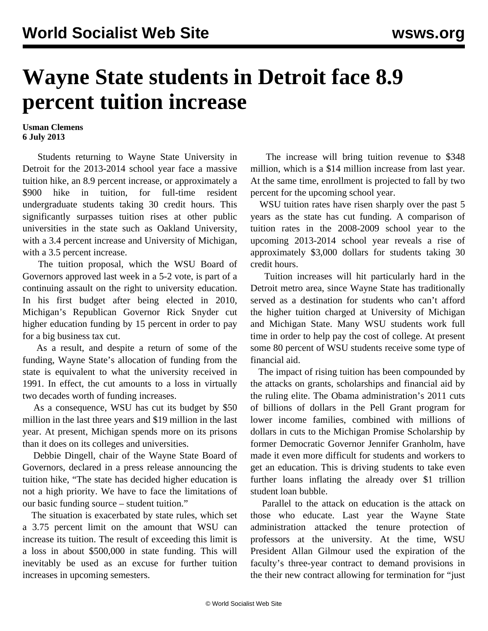## **Wayne State students in Detroit face 8.9 percent tuition increase**

## **Usman Clemens 6 July 2013**

 Students returning to Wayne State University in Detroit for the 2013-2014 school year face a massive tuition hike, an 8.9 percent increase, or approximately a \$900 hike in tuition, for full-time resident undergraduate students taking 30 credit hours. This significantly surpasses tuition rises at other public universities in the state such as Oakland University, with a 3.4 percent increase and University of Michigan, with a 3.5 percent increase.

 The tuition proposal, which the WSU Board of Governors approved last week in a 5-2 vote, is part of a continuing assault on the right to university education. In his first budget after being elected in 2010, Michigan's Republican Governor Rick Snyder cut higher education funding by 15 percent in order to pay for a big business tax cut.

 As a result, and despite a return of some of the funding, Wayne State's allocation of funding from the state is equivalent to what the university received in 1991. In effect, the cut amounts to a loss in virtually two decades worth of funding increases.

 As a consequence, WSU has cut its budget by \$50 million in the last three years and \$19 million in the last year. At present, Michigan spends more on its prisons than it does on its colleges and universities.

 Debbie Dingell, chair of the Wayne State Board of Governors, declared in a press release announcing the tuition hike, "The state has decided higher education is not a high priority. We have to face the limitations of our basic funding source – student tuition."

 The situation is exacerbated by state rules, which set a 3.75 percent limit on the amount that WSU can increase its tuition. The result of exceeding this limit is a loss in about \$500,000 in state funding. This will inevitably be used as an excuse for further tuition increases in upcoming semesters.

 The increase will bring tuition revenue to \$348 million, which is a \$14 million increase from last year. At the same time, enrollment is projected to fall by two percent for the upcoming school year.

WSU tuition rates have risen sharply over the past 5 years as the state has cut funding. A comparison of tuition rates in the 2008-2009 school year to the upcoming 2013-2014 school year reveals a rise of approximately \$3,000 dollars for students taking 30 credit hours.

 Tuition increases will hit particularly hard in the Detroit metro area, since Wayne State has traditionally served as a destination for students who can't afford the higher tuition charged at University of Michigan and Michigan State. Many WSU students work full time in order to help pay the cost of college. At present some 80 percent of WSU students receive some type of financial aid.

 The impact of rising tuition has been compounded by the attacks on grants, scholarships and financial aid by the ruling elite. The Obama administration's 2011 cuts of billions of dollars in the Pell Grant program for lower income families, combined with millions of dollars in cuts to the Michigan Promise Scholarship by former Democratic Governor Jennifer Granholm, have made it even more difficult for students and workers to get an education. This is driving students to take even further loans inflating the already over \$1 trillion student loan bubble.

 Parallel to the attack on education is the attack on those who educate. Last year the Wayne State administration attacked the tenure protection of professors at the university. At the time, WSU President Allan Gilmour used the expiration of the faculty's three-year contract to demand provisions in the their new contract allowing for termination for "just